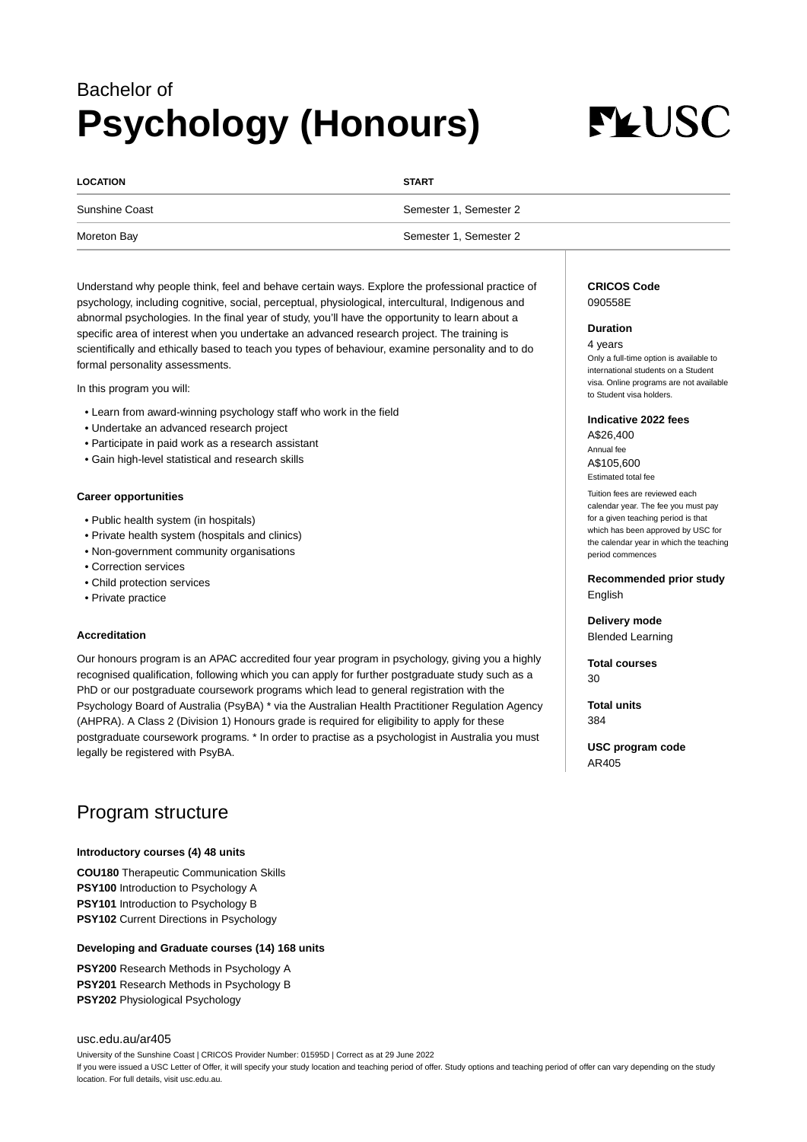## Bachelor of **Psychology (Honours)**

# **FLUSC**

| <b>LOCATION</b> | <b>START</b>           |
|-----------------|------------------------|
| Sunshine Coast  | Semester 1, Semester 2 |
| Moreton Bay     | Semester 1, Semester 2 |

Understand why people think, feel and behave certain ways. Explore the professional practice of psychology, including cognitive, social, perceptual, physiological, intercultural, Indigenous and abnormal psychologies. In the final year of study, you'll have the opportunity to learn about a specific area of interest when you undertake an advanced research project. The training is scientifically and ethically based to teach you types of behaviour, examine personality and to do formal personality assessments.

In this program you will:

- Learn from award-winning psychology staff who work in the field
- Undertake an advanced research project
- Participate in paid work as a research assistant
- Gain high-level statistical and research skills

#### **Career opportunities**

- Public health system (in hospitals)
- Private health system (hospitals and clinics)
- Non-government community organisations
- Correction services
- Child protection services
- Private practice

#### **Accreditation**

Our honours program is an APAC accredited four year program in psychology, giving you a highly recognised qualification, following which you can apply for further postgraduate study such as a PhD or our postgraduate coursework programs which lead to general registration with the Psychology Board of Australia (PsyBA) \* via the Australian Health Practitioner Regulation Agency (AHPRA). A Class 2 (Division 1) Honours grade is required for eligibility to apply for these postgraduate coursework programs. \* In order to practise as a psychologist in Australia you must legally be registered with PsyBA.

### Program structure

#### **Introductory courses (4) 48 units**

**COU180** Therapeutic Communication Skills **PSY100** Introduction to Psychology A **PSY101** Introduction to Psychology B **PSY102** Current Directions in Psychology

#### **Developing and Graduate courses (14) 168 units**

**PSY200** Research Methods in Psychology A **PSY201** Research Methods in Psychology B **PSY202** Physiological Psychology

#### [usc.edu.au/ar405](https://www.usc.edu.au/ar405)

University of the Sunshine Coast | CRICOS Provider Number: 01595D | Correct as at 29 June 2022 If you were issued a USC Letter of Offer, it will specify your study location and teaching period of offer. Study options and teaching period of offer can vary depending on the study location. For full details, visit usc.edu.au.

#### **CRICOS Code** 090558E

#### **Duration**

4 years Only a full-time option is available to international students on a Student visa. Online programs are not available to Student visa holders.

#### **Indicative 2022 fees**

A\$26,400 Annual fee A\$105,600 Estimated total fee

Tuition fees are reviewed each calendar year. The fee you must pay for a given teaching period is that which has been approved by USC for the calendar year in which the teaching period commences

**Recommended prior study** English

**Delivery mode** Blended Learning

**Total courses** 30

**Total units** 384

**USC program code** AR405